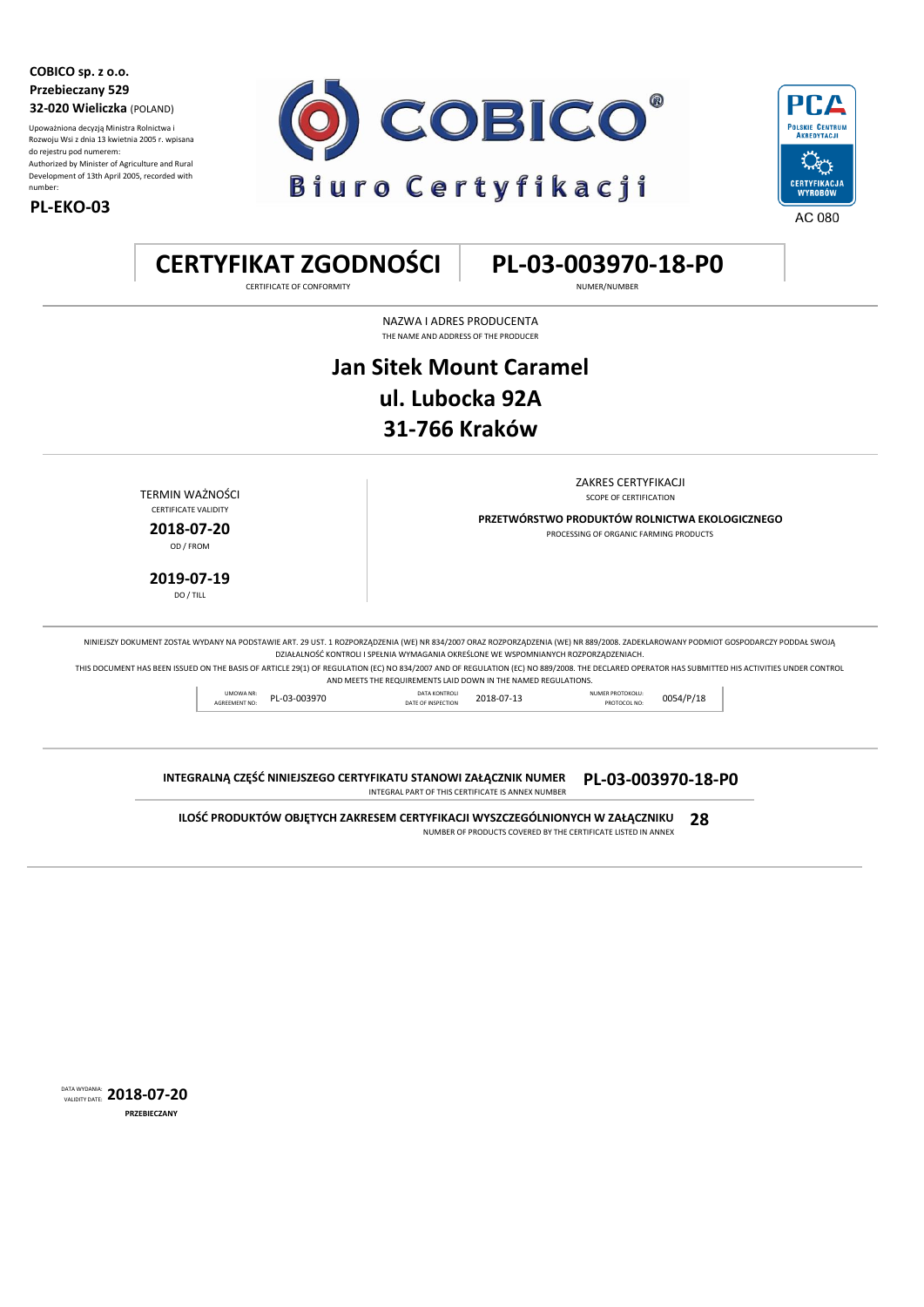**COBICO sp. z o.o. Przebieczany 529 32-020 Wieliczka** (POLAND)

Upoważniona decyzją Ministra Rolnictwa i Rozwoju Wsi z dnia 13 kwietnia 2005 r. wpisana do rejestru pod numerem: Authorized by Minister of Agriculture and Rural Development of 13th April 2005, recorded with number:







**CERTYFIKAT ZGODNOŚCI PL-03-003970-18-P0**

CERTIFICATE OF CONFORMITY NUMER/NUMBER

NAZWA I ADRES PRODUCENTA THE NAME AND ADDRESS OF THE PRODUCER

## **ul. Lubocka 92A Jan Sitek Mount Caramel 31-766 Kraków**

ZAKRES CERTYFIKACJI

**PRZETWÓRSTWO PRODUKTÓW ROLNICTWA EKOLOGICZNEGO 2018-07-20** PROCESSING OF ORGANIC FARMING PRODUCTS

**TERMIN WAŻNOŚCI STOPE OF CERTIFICATION** CERTIFICATE VALIDITY

OD / FROM

**2019-07-19** DO / TILL

NINIEJSZY DOKUMENT ZOSTAŁ WYDANY NA PODSTAWIE ART. 29 UST. 1 ROZPORZĄDZENIA (WE) NR 834/2007 ORAZ ROZPORZĄDZENIA (WE) NR 889/2008. ZADEKLAROWANY PODMIOT GOSPODARCZY PODDAŁ SWOJĄ DZIAŁALNOŚĆ KONTROLI I SPEŁNIA WYMAGANIA OKREŚLONE WE WSPOMNIANYCH ROZPORZĄDZENIACH.

THIS DOCUMENT HAS BEEN ISSUED ON THE BASIS OF ARTICLE 29(1) OF REGULATION (EC) NO 834/2007 AND OF REGULATION (EC) NO 889/2008. THE DECLARED OPERATOR HAS SUBMITTED HIS ACTIVITIES UNDER CONTROL AND MEETS THE REQUIREMENTS LAID DOWN IN THE NAMED REGULATIONS.

UMOWA NR: PL-03-003970 DATA KONTROLI DATA COTAB-07-13 NUMER PROTOKOLU: UMOWA NR: PL-03-003970 DATA KONTROLI DATA KONTROLI 2018-07-13 NUMER PROTOKOLU: 0054/P/18<br>DATE OF INSPECTION 2018-07-13 PROTOCOL NO: 0054/P/18

**INTEGRALNĄ CZĘŚĆ NINIEJSZEGO CERTYFIKATU STANOWI ZAŁĄCZNIK NUMER PL-03-003970-18-P0** INTEGRAL PART OF THIS CERTIFICATE IS ANNEX NUMBER

**ILOŚĆ PRODUKTÓW OBJĘTYCH ZAKRESEM CERTYFIKACJI WYSZCZEGÓLNIONYCH W ZAŁĄCZNIKU 28** NUMBER OF PRODUCTS COVERED BY THE CERTIFICATE LISTED IN ANNEX

DATA WYDANIA: VALIDITY DATE: **2018-07-20 PRZEBIECZANY**